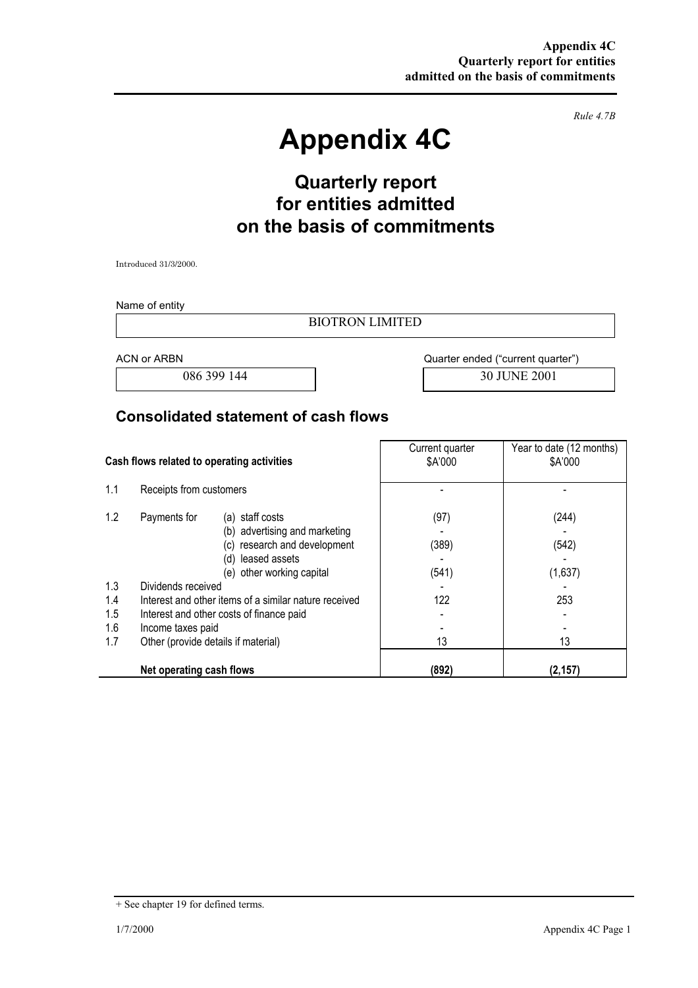*Rule 4.7B* 

# **Appendix 4C**

# **Quarterly report for entities admitted on the basis of commitments**

Introduced 31/3/2000.

Name of entity

BIOTRON LIMITED

ACN or ARBN **ACN** or ARBN **ACN ACN ACN AC** 

086 399 144 30 JUNE 2001

#### **Consolidated statement of cash flows**

| Cash flows related to operating activities |                                                                                                                                                                                                                                                                                                                                                 | Current quarter<br>\$A'000          | Year to date (12 months)<br>\$A'000    |
|--------------------------------------------|-------------------------------------------------------------------------------------------------------------------------------------------------------------------------------------------------------------------------------------------------------------------------------------------------------------------------------------------------|-------------------------------------|----------------------------------------|
| 1.1                                        | Receipts from customers                                                                                                                                                                                                                                                                                                                         |                                     |                                        |
| 1.2<br>1.3<br>1.4<br>1.5<br>1.6<br>1.7     | Payments for<br>(a) staff costs<br>(b) advertising and marketing<br>research and development<br>(c)<br>leased assets<br>(d)<br>(e) other working capital<br>Dividends received<br>Interest and other items of a similar nature received<br>Interest and other costs of finance paid<br>Income taxes paid<br>Other (provide details if material) | (97)<br>(389)<br>(541)<br>122<br>13 | (244)<br>(542)<br>(1,637)<br>253<br>13 |
|                                            | Net operating cash flows                                                                                                                                                                                                                                                                                                                        | (892)                               | (2, 157)                               |

<sup>+</sup> See chapter 19 for defined terms.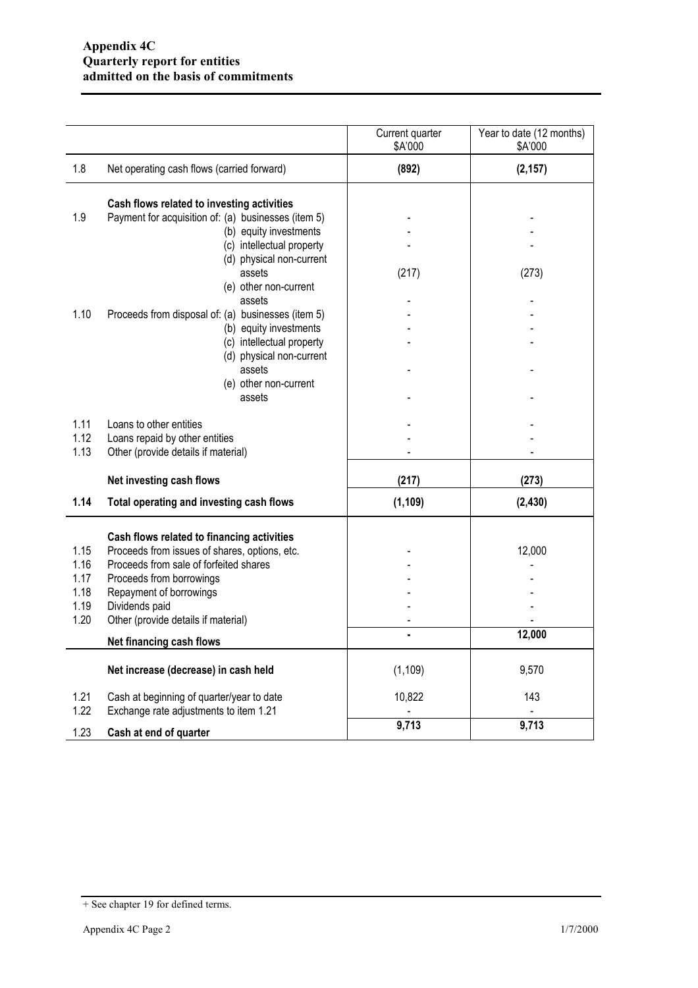|                                              |                                                                                                                                                                                                                                                       | Current quarter<br>\$A'000 | Year to date (12 months)<br>\$A'000 |
|----------------------------------------------|-------------------------------------------------------------------------------------------------------------------------------------------------------------------------------------------------------------------------------------------------------|----------------------------|-------------------------------------|
| 1.8                                          | Net operating cash flows (carried forward)                                                                                                                                                                                                            | (892)                      | (2, 157)                            |
| 1.9                                          | Cash flows related to investing activities<br>Payment for acquisition of: (a) businesses (item 5)<br>(b) equity investments<br>(c) intellectual property<br>(d) physical non-current                                                                  |                            |                                     |
|                                              | assets<br>(e) other non-current<br>assets                                                                                                                                                                                                             | (217)                      | (273)                               |
| 1.10                                         | Proceeds from disposal of: (a) businesses (item 5)<br>(b) equity investments<br>(c) intellectual property                                                                                                                                             |                            |                                     |
|                                              | (d) physical non-current<br>assets<br>(e) other non-current                                                                                                                                                                                           |                            |                                     |
| 1.11                                         | assets<br>Loans to other entities                                                                                                                                                                                                                     |                            |                                     |
| 1.12<br>1.13                                 | Loans repaid by other entities<br>Other (provide details if material)                                                                                                                                                                                 |                            |                                     |
|                                              | Net investing cash flows                                                                                                                                                                                                                              | (217)                      | (273)                               |
| 1.14                                         | Total operating and investing cash flows                                                                                                                                                                                                              | (1, 109)                   | (2, 430)                            |
| 1.15<br>1.16<br>1.17<br>1.18<br>1.19<br>1.20 | Cash flows related to financing activities<br>Proceeds from issues of shares, options, etc.<br>Proceeds from sale of forfeited shares<br>Proceeds from borrowings<br>Repayment of borrowings<br>Dividends paid<br>Other (provide details if material) |                            | 12,000                              |
|                                              | Net financing cash flows                                                                                                                                                                                                                              |                            | 12,000                              |
|                                              | Net increase (decrease) in cash held                                                                                                                                                                                                                  | (1, 109)                   | 9,570                               |
| 1.21<br>1.22                                 | Cash at beginning of quarter/year to date<br>Exchange rate adjustments to item 1.21                                                                                                                                                                   | 10,822                     | 143                                 |
| 1.23                                         | Cash at end of quarter                                                                                                                                                                                                                                | 9,713                      | 9,713                               |

<sup>+</sup> See chapter 19 for defined terms.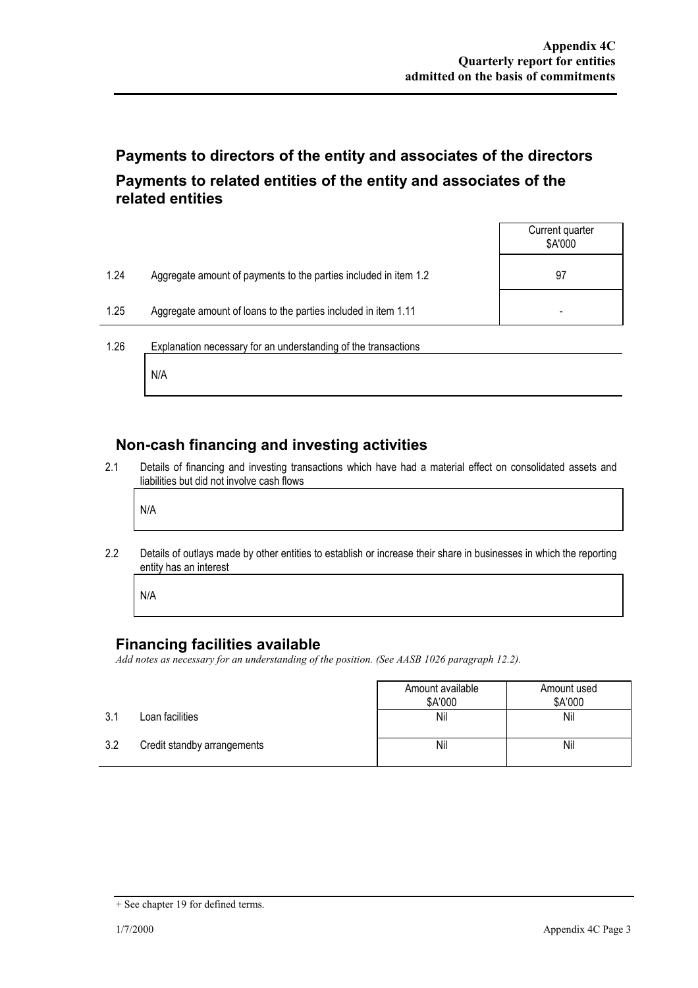# **Payments to directors of the entity and associates of the directors Payments to related entities of the entity and associates of the related entities**

|      |                                                                  | Current quarter<br>\$A'000 |
|------|------------------------------------------------------------------|----------------------------|
| 1.24 | Aggregate amount of payments to the parties included in item 1.2 | 97                         |
| 1.25 | Aggregate amount of loans to the parties included in item 1.11   |                            |
| 1.26 | Explanation necessary for an understanding of the transactions   |                            |

### **Non-cash financing and investing activities**

2.1 Details of financing and investing transactions which have had a material effect on consolidated assets and liabilities but did not involve cash flows

N/A

N/A

2.2 Details of outlays made by other entities to establish or increase their share in businesses in which the reporting entity has an interest

N/A

#### **Financing facilities available**

*Add notes as necessary for an understanding of the position. (See AASB 1026 paragraph 12.2).* 

|     |                             | Amount available<br>\$A'000 | Amount used<br>\$A'000 |
|-----|-----------------------------|-----------------------------|------------------------|
| 3.1 | Loan facilities             | Nil                         | Nil                    |
| 3.2 | Credit standby arrangements | Nil                         | Nil                    |

<sup>+</sup> See chapter 19 for defined terms.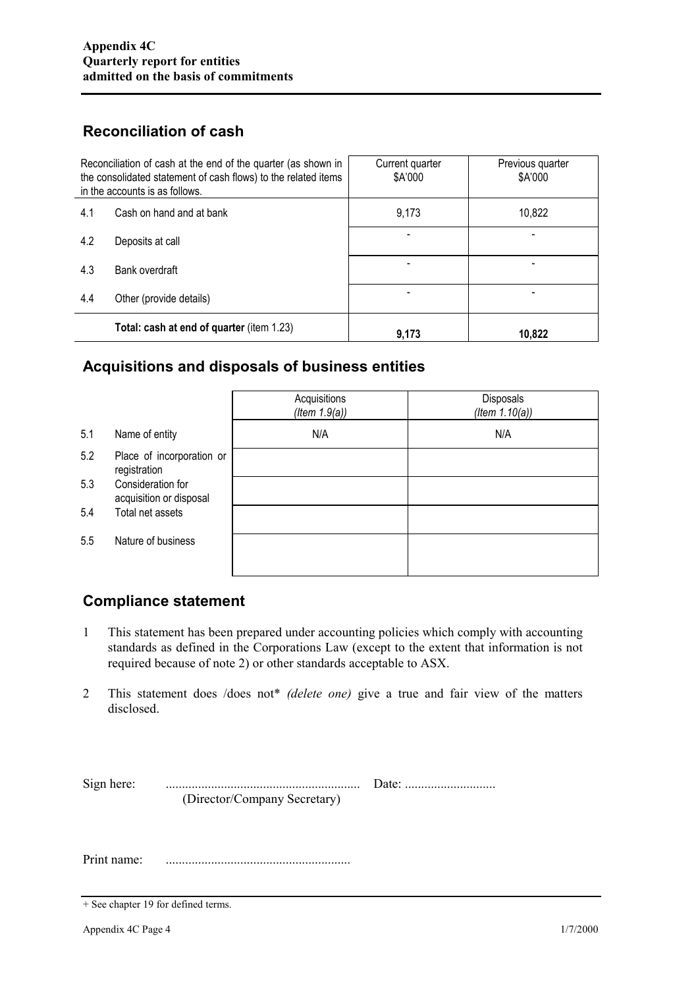# **Reconciliation of cash**

| Reconciliation of cash at the end of the quarter (as shown in<br>the consolidated statement of cash flows) to the related items<br>in the accounts is as follows. |                                           | Current quarter<br>\$A'000 | Previous quarter<br>\$A'000 |
|-------------------------------------------------------------------------------------------------------------------------------------------------------------------|-------------------------------------------|----------------------------|-----------------------------|
| 4.1                                                                                                                                                               | Cash on hand and at bank                  | 9,173                      | 10,822                      |
| 4.2                                                                                                                                                               | Deposits at call                          |                            |                             |
| 4.3                                                                                                                                                               | Bank overdraft                            |                            |                             |
| 4.4                                                                                                                                                               | Other (provide details)                   |                            |                             |
|                                                                                                                                                                   | Total: cash at end of quarter (item 1.23) | 9,173                      | 10,822                      |

#### **Acquisitions and disposals of business entities**

|     |                                              | Acquisitions<br>(Item 1.9(a)) | Disposals<br>(Item $1.10(a)$ ) |
|-----|----------------------------------------------|-------------------------------|--------------------------------|
| 5.1 | Name of entity                               | N/A                           | N/A                            |
| 5.2 | Place of incorporation or<br>registration    |                               |                                |
| 5.3 | Consideration for<br>acquisition or disposal |                               |                                |
| 5.4 | Total net assets                             |                               |                                |
| 5.5 | Nature of business                           |                               |                                |

## **Compliance statement**

- 1 This statement has been prepared under accounting policies which comply with accounting standards as defined in the Corporations Law (except to the extent that information is not required because of note 2) or other standards acceptable to ASX.
- 2 This statement does /does not\* *(delete one)* give a true and fair view of the matters disclosed.

| Sign here:  |                              |  |
|-------------|------------------------------|--|
|             | (Director/Company Secretary) |  |
|             |                              |  |
|             |                              |  |
|             |                              |  |
| Print name: |                              |  |

<sup>+</sup> See chapter 19 for defined terms.